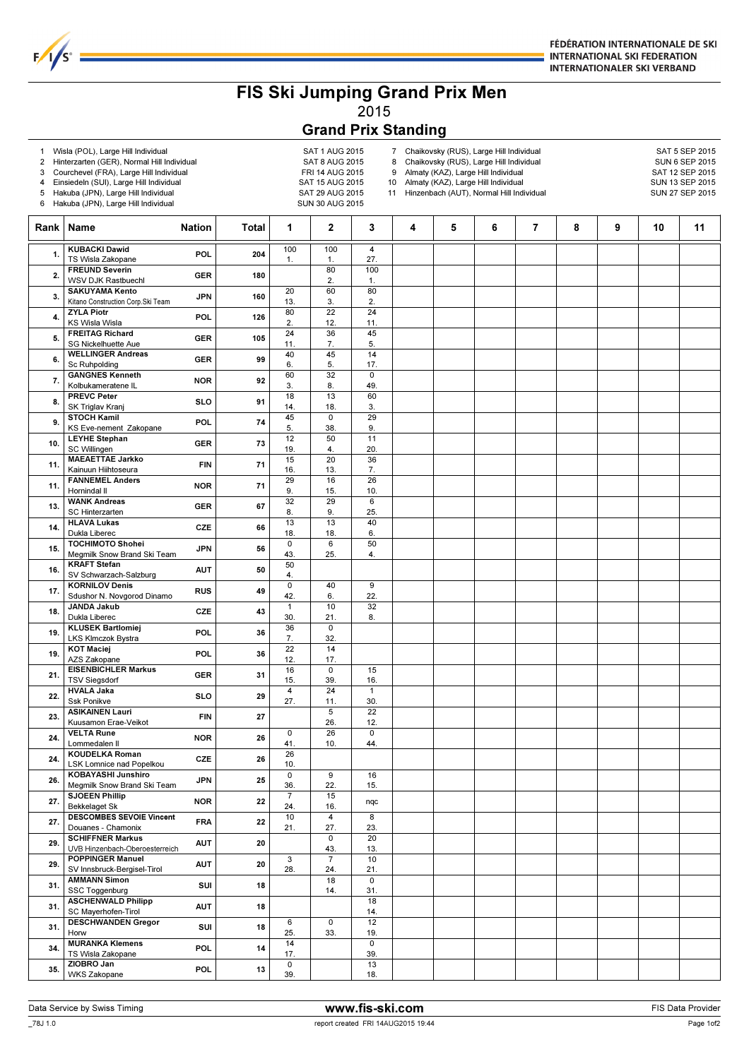

## FIS Ski Jumping Grand Prix Men 2015

## Grand Prix Standing

1 Wisla (POL), Large Hill Individual and the SAT 1 AUG 2015<br>2 Hinterzarten (GER), Normal Hill Individual SAT 8 AUG 2015

 $1/s<sup>o</sup>$ 

- 2 Hinterzarten (GER), Normal Hill Individual SAT 8 AUG 2015
- 3 Courchevel (FRA), Large Hill Individual

4 Einsiedeln (SUI), Large Hill Individual SAT 15 AUG 2015 5 Hakuba (JPN), Large Hill Individual SAT 29 AUG 2015

- 
- 6 Hakuba (JPN), Large Hill Individual SUN 30 AUG 2015

- 7 Chaikovsky (RUS), Large Hill Individual SAT 5 SEP 2015<br>8 Chaikovsky (RUS), Large Hill Individual SUN 6 SEP 2015 8 Chaikovsky (RUS), Large Hill Individual SUN 6 SEP 2015<br>9 Almaty (KAZ), Large Hill Individual SUN 6 SAT 12 SEP 2015
- Almaty (KAZ), Large Hill Individual

10 Almaty (KAZ), Large Hill Individual SUN 13 SEP 2015

11 Hinzenbach (AUT), Normal Hill Individual SUN 27 SEP 2015

Rank Name Nation Total 1 2 3 4 5 6 7 8 9 10 11  $100$ 1.  $100$ 1.  $\overline{4}$ 27. 1. KUBACKI Dawid **KUBACKI Dawid**<br>TS Wisla Zakopane POL 204 80 2. 100 1. 2. FREUND Severin WSV DJK Rastbuechl GER 180  $\overline{20}$ 13.  $60$ 3. 80 2. 3. SAKUYAMA Kento Kitano Construction Corp.Ski Team JPN 160 80 2. 22 12. 24 11. 4. ZYLA Piotr **ZYLA Piotr<br>
KS Wisla Wisla POL 126<br>
FREITAG Richard** POL 126 24 11. 36 7. 45 5. 5. FREITAG Richard SG Nickelhuette Aue GER 105 40 6. 45 5. 14 17. 6. WELLINGER Andreas WELLINGER Andreas<br>
Sc Ruhpolding GER 99<br>
GANGNES Kenneth 1992 60 3. 32 8.  $\overline{0}$ 49. 7. GANGNES Kenneth Kolbukameratene IL NOR 92 18 14. 13 18. 60 3. 8. PREVC Peter <u>NEVC Peter SLO</u><br>SK Triglav Kranj SLO 91 45 5. 0 38. 29 9. 9. STOCH Kamil KS Eve-nement Zakopane POL 74 12 19. 50 4.  $11$ <br> $20.$ 20. 10. LEYHE Stephan LEYHE Stephan GER 73<br>
SC Willingen GER 73<br>
MAEAETTAE Jarkko FILM 15 16. 20 13. 36 7. 11. MAEAETTAE Jarkko Kainuun Hiihtoseura FIN 71 29 9. 16 15.  $\frac{26}{10}$ 10. 11. FANNEMEL Anders FANNEMEL Anders<br>
Hornindal II NOR 71<br>
WANK Andreas 32 8. 29 9. 6 13. WANK Andreas<br>  $25.$  SC Hinterzarten<br>
25. C Hinterzarten<br>
25. GER 6<br>
25. GER 6<br>
25. SC Hinterzarten GER 67 13 18. 13 18.  $\overline{40}$ <br>6. 6. 14. HLAVA Lukas PUR LINES<br>Dukla Liberec CZE 66<br>TOCHIMOTO Shohei PURLANES  $\overline{\mathfrak{o}}$ 43. 6 25. 50 4. 15. TOCHIMOTO Shohei Megmilk Snow Brand Ski Team JPN 56 50 4. 16. KRAFT Stefan SV Schwarzach-Salzburg AUT 50 0 42. 40 6.  $\overline{9}$ <br>22 17. KORNILOV Denis<br>17. Sdushor N. Novgorod Dinamo RUS 49 42. 6. 22. 1 30. 10 21. 32 18. JANDA Jakub<br>18. Dukla Liberec CZE 143 30. 21. 8. JANDA Jakub<br>
Dukla Liberec CZE 43<br>
KLUSEK Bartlomiej POL 36 7.  $\overline{0}$ <br>32 32. 19. KLUSEK Bartlomiej LKS Klmczok Bystra POL 36 22 12. 14 17. 19. KOT Maciej **KOT Maciej**<br>
AZS Zakopane **POL** 36<br> **EISENBICHLER Markus** 16 15.  $\overline{\phantom{0}}$ 39.  $\frac{15}{16}$ 16. 21. EISENBICHLER Markus EISENBICHLER Markus GER 31 4 27. 24 11. 1 30. 22. HVALA Jaka **HVALA Jaka**<br>Ssk Ponikve **SLO** 29 5 26.  $\overline{22}$ 12. 23. ASIKAINEN Lauri Kuusamon Erae-Veikot FIN 27  $\overline{0}$ 41. 26 10.  $\overline{0}$ 44. 24. VELTA Rune Lommedalen Il NOR 26  $\overline{26}$ 10. 24. KOUDELKA Roman LSK Lomnice nad Popelkou CZE 26  $\overline{0}$ 36.  $\overline{9}$ 22. 16 15. 26. KOBAYASHI Junshiro Megmilk Snow Brand Ski Team JPN 25 -24.  $\frac{15}{16}$ 27. **Bekkelaget Sk NOR** 22  $\begin{bmatrix} 1 & 1 & 1 \\ 2 & 4 & 16 \end{bmatrix}$  nqc SJOEEN Phillip 10 21.  $\overline{4}$ 27.  $\overline{8}$ 23. 27. DESCOMBES SEVOIE Vincent Douanes - Chamonix  $\Omega$ 43.  $20$ 13. 29. SCHIFFNER Markus UVB Hinzenbach-Oberoesterreich AUT 20 3 28. 7 24. 10 21. 29. POPPINGER Manuel SV Innsbruck-Bergisel-Tirol AUT 20 18 14.  $\Omega$ 31. 31. AMMANN Simon SSC Toggenburg SUI 18 18 14. 31. ASCHENWALD Philipp SC Mayerhofen-Tirol AUT 18  $\overline{6}$ 25.  $\overline{0}$ 33. 12 19. DESCHWANDEN Gregor 501 18 6 0 12<br>19. MURANKA Klemens 501 19. 14 14 0 PESSIMMARE SUS SUI 18<br>Horw 14 17.  $\overline{0}$ 39. 34. MURANKA Klemens TS Wisla Zakopane POL 14  $\overline{0}$ 39. 13 18. 35. ZIOBRO Jan WKS Zakopane POL 13